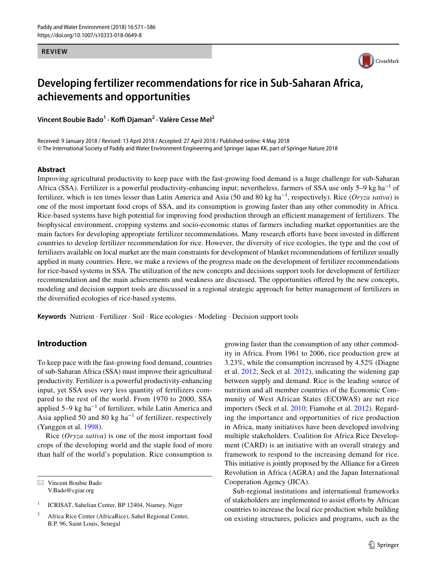### **REVIEW**



# **Developing fertilizer recommendations for rice in Sub‑Saharan Africa, achievements and opportunities**

Vincent Boubie Bado<sup>1</sup> • Koffi Djaman<sup>2</sup> • Valère Cesse Mel<sup>2</sup>

Received: 9 January 2018 / Revised: 13 April 2018 / Accepted: 27 April 2018 / Published online: 4 May 2018 © The International Society of Paddy and Water Environment Engineering and Springer Japan KK, part of Springer Nature 2018

# **Abstract**

Improving agricultural productivity to keep pace with the fast-growing food demand is a huge challenge for sub-Saharan Africa (SSA). Fertilizer is a powerful productivity-enhancing input; nevertheless, farmers of SSA use only 5–9 kg ha−1 of fertilizer, which is ten times lesser than Latin America and Asia (50 and 80 kg ha−1, respectively). Rice (*Oryza sativa*) is one of the most important food crops of SSA, and its consumption is growing faster than any other commodity in Africa. Rice-based systems have high potential for improving food production through an efficient management of fertilizers. The biophysical environment, cropping systems and socio-economic status of farmers including market opportunities are the main factors for developing appropriate fertilizer recommendations. Many research eforts have been invested in diferent countries to develop fertilizer recommendation for rice. However, the diversity of rice ecologies, the type and the cost of fertilizers available on local market are the main constraints for development of blanket recommendations of fertilizer usually applied in many countries. Here, we make a reviews of the progress made on the development of fertilizer recommendations for rice-based systems in SSA. The utilization of the new concepts and decisions support tools for development of fertilizer recommendation and the main achievements and weakness are discussed. The opportunities ofered by the new concepts, modeling and decision support tools are discussed in a regional strategic approach for better management of fertilizers in the diversifed ecologies of rice-based systems.

**Keywords** Nutrient · Fertilizer · Soil · Rice ecologies · Modeling · Decision support tools

# **Introduction**

To keep pace with the fast-growing food demand, countries of sub-Saharan Africa (SSA) must improve their agricultural productivity. Fertilizer is a powerful productivity-enhancing input, yet SSA uses very less quantity of fertilizers compared to the rest of the world. From 1970 to 2000, SSA applied 5–9 kg ha−1 of fertilizer, while Latin America and Asia applied 50 and 80 kg ha<sup>-1</sup> of fertilizer, respectively (Yanggen et al. [1998](#page-15-0)).

Rice (*Oryza sativa*) is one of the most important food crops of the developing world and the staple food of more than half of the world's population. Rice consumption is

 $\boxtimes$  Vincent Boubie Bado V.Bado@cgiar.org

growing faster than the consumption of any other commodity in Africa. From 1961 to 2006, rice production grew at 3.23%, while the consumption increased by 4.52% (Diagne et al. [2012](#page-13-0); Seck et al. [2012\)](#page-14-0), indicating the widening gap between supply and demand. Rice is the leading source of nutrition and all member countries of the Economic Community of West African States (ECOWAS) are net rice importers (Seck et al. [2010;](#page-14-1) Fiamohe et al. [2012](#page-13-1)). Regarding the importance and opportunities of rice production in Africa, many initiatives have been developed involving multiple stakeholders. Coalition for Africa Rice Development (CARD) is an initiative with an overall strategy and framework to respond to the increasing demand for rice. This initiative is jointly proposed by the Alliance for a Green Revolution in Africa (AGRA) and the Japan International Cooperation Agency (JICA).

Sub-regional institutions and international frameworks of stakeholders are implemented to assist eforts by African countries to increase the local rice production while building on existing structures, policies and programs, such as the

<sup>&</sup>lt;sup>1</sup> ICRISAT, Sahelian Center, BP 12404, Niamey, Niger

<sup>&</sup>lt;sup>2</sup> Africa Rice Center (AfricaRice), Sahel Regional Center, B.P. 96, Saint Louis, Senegal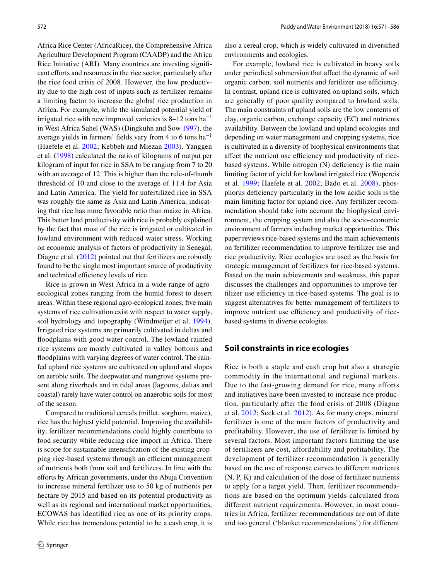Africa Rice Center (AfricaRice), the Comprehensive Africa Agriculture Development Program (CAADP) and the Africa Rice Initiative (ARI). Many countries are investing signifcant eforts and resources in the rice sector, particularly after the rice food crisis of 2008. However, the low productivity due to the high cost of inputs such as fertilizer remains a limiting factor to increase the global rice production in Africa. For example, while the simulated potential yield of irrigated rice with new improved varieties is  $8-12$  tons ha<sup>-1</sup> in West Africa Sahel (WAS) (Dingkuhn and Sow [1997\)](#page-13-2), the average yields in farmers' fields vary from 4 to 6 tons  $ha^{-1}$ (Haefele et al. [2002](#page-13-3); Kebbeh and Miezan [2003](#page-14-2)). Yanggen et al. ([1998\)](#page-15-0) calculated the ratio of kilograms of output per kilogram of input for rice in SSA to be ranging from 7 to 20 with an average of 12. This is higher than the rule-of-thumb threshold of 10 and close to the average of 11.4 for Asia and Latin America. The yield for unfertilized rice in SSA was roughly the same as Asia and Latin America, indicating that rice has more favorable ratio than maize in Africa. This better land productivity with rice is probably explained by the fact that most of the rice is irrigated or cultivated in lowland environment with reduced water stress. Working on economic analysis of factors of productivity in Senegal, Diagne et al. [\(2012](#page-13-0)) pointed out that fertilizers are robustly found to be the single most important source of productivity and technical efficiency levels of rice.

Rice is grown in West Africa in a wide range of agroecological zones ranging from the humid forest to desert areas. Within these regional agro-ecological zones, fve main systems of rice cultivation exist with respect to water supply, soil hydrology and topography (Windmeijer et al. [1994](#page-15-1)). Irrigated rice systems are primarily cultivated in deltas and foodplains with good water control. The lowland rainfed rice systems are mostly cultivated in valley bottoms and foodplains with varying degrees of water control. The rainfed upland rice systems are cultivated on upland and slopes on aerobic soils. The deepwater and mangrove systems present along riverbeds and in tidal areas (lagoons, deltas and coastal) rarely have water control on anaerobic soils for most of the season.

Compared to traditional cereals (millet, sorghum, maize), rice has the highest yield potential. Improving the availability, fertilizer recommendations could highly contribute to food security while reducing rice import in Africa. There is scope for sustainable intensifcation of the existing cropping rice-based systems through an efficient management of nutrients both from soil and fertilizers. In line with the efforts by African governments, under the Abuja Convention to increase mineral fertilizer use to 50 kg of nutrients per hectare by 2015 and based on its potential productivity as well as its regional and international market opportunities, ECOWAS has identifed rice as one of its priority crops. While rice has tremendous potential to be a cash crop, it is also a cereal crop, which is widely cultivated in diversifed environments and ecologies.

For example, lowland rice is cultivated in heavy soils under periodical submersion that afect the dynamic of soil organic carbon, soil nutrients and fertilizer use efficiency. In contrast, upland rice is cultivated on upland soils, which are generally of poor quality compared to lowland soils. The main constraints of upland soils are the low contents of clay, organic carbon, exchange capacity (EC) and nutrients availability. Between the lowland and upland ecologies and depending on water management and cropping systems, rice is cultivated in a diversity of biophysical environments that affect the nutrient use efficiency and productivity of ricebased systems. While nitrogen (N) deficiency is the main limiting factor of yield for lowland irrigated rice (Wopereis et al. [1999;](#page-15-2) Haefele et al. [2002](#page-13-3); Bado et al. [2008](#page-12-0)), phosphorus defciency particularly in the low acidic soils is the main limiting factor for upland rice. Any fertilizer recommendation should take into account the biophysical environment, the cropping system and also the socio-economic environment of farmers including market opportunities. This paper reviews rice-based systems and the main achievements on fertilizer recommendation to improve fertilizer use and rice productivity. Rice ecologies are used as the basis for strategic management of fertilizers for rice-based systems. Based on the main achievements and weakness, this paper discusses the challenges and opportunities to improve fertilizer use efficiency in rice-based systems. The goal is to suggest alternatives for better management of fertilizers to improve nutrient use efficiency and productivity of ricebased systems in diverse ecologies.

# **Soil constraints in rice ecologies**

Rice is both a staple and cash crop but also a strategic commodity in the international and regional markets. Due to the fast-growing demand for rice, many efforts and initiatives have been invested to increase rice production, particularly after the food crisis of 2008 (Diagne et al. [2012;](#page-13-0) Seck et al. [2012\)](#page-14-0). As for many crops, mineral fertilizer is one of the main factors of productivity and profitability. However, the use of fertilizer is limited by several factors. Most important factors limiting the use of fertilizers are cost, affordability and profitability. The development of fertilizer recommendation is generally based on the use of response curves to different nutrients (N, P, K) and calculation of the dose of fertilizer nutrients to apply for a target yield. Then, fertilizer recommendations are based on the optimum yields calculated from different nutrient requirements. However, in most countries in Africa, fertilizer recommendations are out of date and too general ('blanket recommendations') for different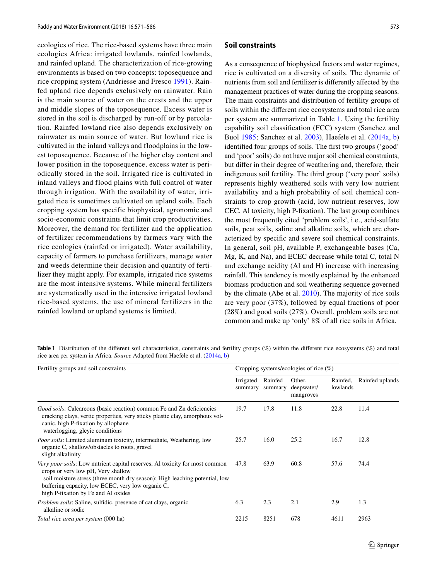ecologies of rice. The rice-based systems have three main ecologies Africa: irrigated lowlands, rainfed lowlands, and rainfed upland. The characterization of rice-growing environments is based on two concepts: toposequence and rice cropping system (Andriesse and Fresco [1991](#page-12-1)). Rainfed upland rice depends exclusively on rainwater. Rain is the main source of water on the crests and the upper and middle slopes of the toposequence. Excess water is stored in the soil is discharged by run-off or by percolation. Rainfed lowland rice also depends exclusively on rainwater as main source of water. But lowland rice is cultivated in the inland valleys and floodplains in the lowest toposequence. Because of the higher clay content and lower position in the toposequence, excess water is periodically stored in the soil. Irrigated rice is cultivated in inland valleys and flood plains with full control of water through irrigation. With the availability of water, irrigated rice is sometimes cultivated on upland soils. Each cropping system has specific biophysical, agronomic and socio-economic constraints that limit crop productivities. Moreover, the demand for fertilizer and the application of fertilizer recommendations by farmers vary with the rice ecologies (rainfed or irrigated). Water availability, capacity of farmers to purchase fertilizers, manage water and weeds determine their decision and quantity of fertilizer they might apply. For example, irrigated rice systems are the most intensive systems. While mineral fertilizers are systematically used in the intensive irrigated lowland rice-based systems, the use of mineral fertilizers in the rainfed lowland or upland systems is limited.

### **Soil constraints**

As a consequence of biophysical factors and water regimes, rice is cultivated on a diversity of soils. The dynamic of nutrients from soil and fertilizer is diferently afected by the management practices of water during the cropping seasons. The main constraints and distribution of fertility groups of soils within the diferent rice ecosystems and total rice area per system are summarized in Table [1.](#page-2-0) Using the fertility capability soil classifcation (FCC) system (Sanchez and Buol [1985](#page-14-3); Sanchez et al. [2003](#page-14-4)), Haefele et al. [\(2014a](#page-13-4), [b\)](#page-13-5) identifed four groups of soils. The frst two groups ('good' and 'poor' soils) do not have major soil chemical constraints, but difer in their degree of weathering and, therefore, their indigenous soil fertility. The third group ('very poor' soils) represents highly weathered soils with very low nutrient availability and a high probability of soil chemical constraints to crop growth (acid, low nutrient reserves, low CEC, Al toxicity, high P-fxation). The last group combines the most frequently cited 'problem soils', i.e., acid-sulfate soils, peat soils, saline and alkaline soils, which are characterized by specifc and severe soil chemical constraints. In general, soil pH, available P, exchangeable bases (Ca, Mg, K, and Na), and ECEC decrease while total C, total N and exchange acidity (Al and H) increase with increasing rainfall. This tendency is mostly explained by the enhanced biomass production and soil weathering sequence governed by the climate (Abe et al. [2010](#page-12-2)). The majority of rice soils are very poor (37%), followed by equal fractions of poor (28%) and good soils (27%). Overall, problem soils are not common and make up 'only' 8% of all rice soils in Africa.

<span id="page-2-0"></span>**Table 1** Distribution of the diferent soil characteristics, constraints and fertility groups (%) within the diferent rice ecosystems (%) and total rice area per system in Africa. *Source* Adapted from Haefele et al. [\(2014a](#page-13-4), [b\)](#page-13-5)

| Fertility groups and soil constraints                                                                                                                                                                                                                                                        |                      | Cropping systems/ecologies of rice $(\%)$ |                                   |                      |                 |  |
|----------------------------------------------------------------------------------------------------------------------------------------------------------------------------------------------------------------------------------------------------------------------------------------------|----------------------|-------------------------------------------|-----------------------------------|----------------------|-----------------|--|
|                                                                                                                                                                                                                                                                                              | Irrigated<br>summary | Rainfed<br>summary                        | Other,<br>deepwater/<br>mangroves | Rainfed,<br>lowlands | Rainfed uplands |  |
| Good soils: Calcareous (basic reaction) common Fe and Zn deficiencies<br>cracking clays, vertic properties, very sticky plastic clay, amorphous vol-<br>canic, high P-fixation by allophane<br>waterlogging, gleyic conditions                                                               | 19.7                 | 17.8                                      | 11.8                              | 22.8                 | 11.4            |  |
| <i>Poor soils:</i> Limited aluminum toxicity, intermediate, Weathering, low<br>organic C, shallow/obstacles to roots, gravel<br>slight alkalinity                                                                                                                                            | 25.7                 | 16.0                                      | 25.2                              | 16.7                 | 12.8            |  |
| Very poor soils: Low nutrient capital reserves, Al toxicity for most common<br>crops or very low pH, Very shallow<br>soil moisture stress (three month dry season); High leaching potential, low<br>buffering capacity, low ECEC, very low organic C,<br>high P-fixation by Fe and Al oxides | 47.8                 | 63.9                                      | 60.8                              | 57.6                 | 74.4            |  |
| <i>Problem soils:</i> Saline, sulfidic, presence of cat clays, organic<br>alkaline or sodic                                                                                                                                                                                                  | 6.3                  | 2.3                                       | 2.1                               | 2.9                  | 1.3             |  |
| <i>Total rice area per system</i> (000 ha)                                                                                                                                                                                                                                                   | 2215                 | 8251                                      | 678                               | 4611                 | 2963            |  |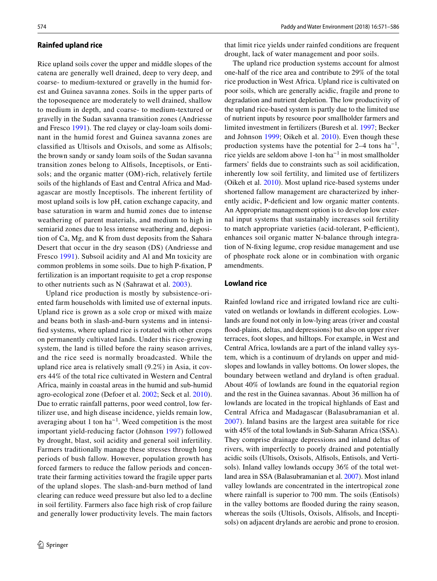### **Rainfed upland rice**

Rice upland soils cover the upper and middle slopes of the catena are generally well drained, deep to very deep, and coarse- to medium-textured or gravelly in the humid forest and Guinea savanna zones. Soils in the upper parts of the toposequence are moderately to well drained, shallow to medium in depth, and coarse- to medium-textured or gravelly in the Sudan savanna transition zones (Andriesse and Fresco [1991\)](#page-12-1). The red clayey or clay-loam soils dominant in the humid forest and Guinea savanna zones are classifed as Ultisols and Oxisols, and some as Alfsols; the brown sandy or sandy loam soils of the Sudan savanna transition zones belong to Alfsols, Inceptisols, or Entisols; and the organic matter (OM)-rich, relatively fertile soils of the highlands of East and Central Africa and Madagascar are mostly Inceptisols. The inherent fertility of most upland soils is low pH, cation exchange capacity, and base saturation in warm and humid zones due to intense weathering of parent materials, and medium to high in semiarid zones due to less intense weathering and, deposition of Ca, Mg, and K from dust deposits from the Sahara Desert that occur in the dry season (DS) (Andriesse and Fresco [1991](#page-12-1)). Subsoil acidity and Al and Mn toxicity are common problems in some soils. Due to high P-fxation, P fertilization is an important requisite to get a crop response to other nutrients such as N (Sahrawat et al. [2003\)](#page-14-5).

Upland rice production is mostly by subsistence-oriented farm households with limited use of external inputs. Upland rice is grown as a sole crop or mixed with maize and beans both in slash-and-burn systems and in intensifed systems, where upland rice is rotated with other crops on permanently cultivated lands. Under this rice-growing system, the land is tilled before the rainy season arrives, and the rice seed is normally broadcasted. While the upland rice area is relatively small (9.2%) in Asia, it covers 44% of the total rice cultivated in Western and Central Africa, mainly in coastal areas in the humid and sub-humid agro-ecological zone (Defoer et al. [2002](#page-13-6); Seck et al. [2010](#page-14-1)). Due to erratic rainfall patterns, poor weed control, low fertilizer use, and high disease incidence, yields remain low, averaging about 1 ton ha−1. Weed competition is the most important yield-reducing factor (Johnson [1997\)](#page-14-6) followed by drought, blast, soil acidity and general soil infertility. Farmers traditionally manage these stresses through long periods of bush fallow. However, population growth has forced farmers to reduce the fallow periods and concentrate their farming activities toward the fragile upper parts of the upland slopes. The slash-and-burn method of land clearing can reduce weed pressure but also led to a decline in soil fertility. Farmers also face high risk of crop failure and generally lower productivity levels. The main factors that limit rice yields under rainfed conditions are frequent drought, lack of water management and poor soils.

The upland rice production systems account for almost one-half of the rice area and contribute to 29% of the total rice production in West Africa. Upland rice is cultivated on poor soils, which are generally acidic, fragile and prone to degradation and nutrient depletion. The low productivity of the upland rice-based system is partly due to the limited use of nutrient inputs by resource poor smallholder farmers and limited investment in fertilizers (Buresh et al. [1997;](#page-13-7) Becker and Johnson [1999;](#page-12-3) Oikeh et al. [2010\)](#page-14-7). Even though these production systems have the potential for  $2-4$  tons ha<sup>-1</sup>, rice yields are seldom above 1-ton  $ha^{-1}$  in most smallholder farmers' felds due to constraints such as soil acidifcation, inherently low soil fertility, and limited use of fertilizers (Oikeh et al. [2010\)](#page-14-7). Most upland rice-based systems under shortened fallow management are characterized by inherently acidic, P-defcient and low organic matter contents. An Appropriate management option is to develop low external input systems that sustainably increases soil fertility to match appropriate varieties (acid-tolerant, P-efficient), enhances soil organic matter N-balance through integration of N-fxing legume, crop residue management and use of phosphate rock alone or in combination with organic amendments.

### **Lowland rice**

Rainfed lowland rice and irrigated lowland rice are cultivated on wetlands or lowlands in diferent ecologies. Lowlands are found not only in low-lying areas (river and coastal food-plains, deltas, and depressions) but also on upper river terraces, foot slopes, and hilltops. For example, in West and Central Africa, lowlands are a part of the inland valley system, which is a continuum of drylands on upper and midslopes and lowlands in valley bottoms. On lower slopes, the boundary between wetland and dryland is often gradual. About 40% of lowlands are found in the equatorial region and the rest in the Guinea savannas. About 36 million ha of lowlands are located in the tropical highlands of East and Central Africa and Madagascar (Balasubramanian et al. [2007\)](#page-12-4). Inland basins are the largest area suitable for rice with 45% of the total lowlands in Sub-Saharan Africa (SSA). They comprise drainage depressions and inland deltas of rivers, with imperfectly to poorly drained and potentially acidic soils (Ultisols, Oxisols, Alfsols, Entisols, and Vertisols). Inland valley lowlands occupy 36% of the total wetland area in SSA (Balasubramanian et al. [2007\)](#page-12-4). Most inland valley lowlands are concentrated in the intertropical zone where rainfall is superior to 700 mm. The soils (Entisols) in the valley bottoms are fooded during the rainy season, whereas the soils (Ultisols, Oxisols, Alfsols, and Inceptisols) on adjacent drylands are aerobic and prone to erosion.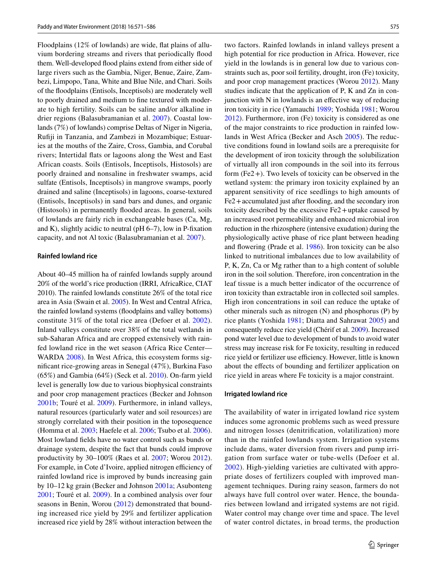Floodplains (12% of lowlands) are wide, fat plains of alluvium bordering streams and rivers that periodically food them. Well-developed food plains extend from either side of large rivers such as the Gambia, Niger, Benue, Zaire, Zambezi, Limpopo, Tana, White and Blue Nile, and Chari. Soils of the foodplains (Entisols, Inceptisols) are moderately well to poorly drained and medium to fne textured with moderate to high fertility. Soils can be saline and/or alkaline in drier regions (Balasubramanian et al. [2007](#page-12-4)). Coastal lowlands (7%) of lowlands) comprise Deltas of Niger in Nigeria, Rufji in Tanzania, and Zambezi in Mozambique; Estuaries at the mouths of the Zaire, Cross, Gambia, and Corubal rivers; Intertidal fats or lagoons along the West and East African coasts. Soils (Entisols, Inceptisols, Histosols) are poorly drained and nonsaline in freshwater swamps, acid sulfate (Entisols, Inceptisols) in mangrove swamps, poorly drained and saline (Inceptisols) in lagoons, coarse-textured (Entisols, Inceptisols) in sand bars and dunes, and organic (Histosols) in permanently fooded areas. In general, soils of lowlands are fairly rich in exchangeable bases (Ca, Mg, and K), slightly acidic to neutral ( $pH$  6–7), low in P-fixation capacity, and not Al toxic (Balasubramanian et al. [2007\)](#page-12-4).

## **Rainfed lowland rice**

About 40–45 million ha of rainfed lowlands supply around 20% of the world's rice production (IRRI, AfricaRice, CIAT 2010). The rainfed lowlands constitute 26% of the total rice area in Asia (Swain et al. [2005\)](#page-15-3). In West and Central Africa, the rainfed lowland systems (foodplains and valley bottoms) constitute 31% of the total rice area (Defoer et al. [2002](#page-13-6)). Inland valleys constitute over 38% of the total wetlands in sub-Saharan Africa and are cropped extensively with rainfed lowland rice in the wet season (Africa Rice Center— WARDA [2008\)](#page-12-5). In West Africa, this ecosystem forms signifcant rice-growing areas in Senegal (47%), Burkina Faso (65%) and Gambia (64%) (Seck et al. [2010](#page-14-1)). On-farm yield level is generally low due to various biophysical constraints and poor crop management practices (Becker and Johnson [2001b;](#page-13-8) Touré et al. [2009\)](#page-15-4). Furthermore, in inland valleys, natural resources (particularly water and soil resources) are strongly correlated with their position in the toposequence (Homma et al. [2003](#page-13-9); Haefele et al. [2006;](#page-13-10) Tsubo et al. [2006](#page-15-5)). Most lowland felds have no water control such as bunds or drainage system, despite the fact that bunds could improve productivity by 30–100% (Raes et al. [2007;](#page-14-8) Worou [2012](#page-15-6)). For example, in Cote d'Ivoire, applied nitrogen efficiency of rainfed lowland rice is improved by bunds increasing gain by 10–12 kg grain (Becker and Johnson [2001a;](#page-13-11) Asubonteng [2001](#page-12-6); Touré et al. [2009\)](#page-15-4). In a combined analysis over four seasons in Benin, Worou ([2012\)](#page-15-6) demonstrated that bounding increased rice yield by 29% and fertilizer application increased rice yield by 28% without interaction between the two factors. Rainfed lowlands in inland valleys present a high potential for rice production in Africa. However, rice yield in the lowlands is in general low due to various constraints such as, poor soil fertility, drought, iron (Fe) toxicity, and poor crop management practices (Worou [2012](#page-15-6)). Many studies indicate that the application of P, K and Zn in conjunction with N in lowlands is an efective way of reducing iron toxicity in rice (Yamauchi [1989;](#page-15-7) Yoshida [1981](#page-15-8); Worou [2012](#page-15-6)). Furthermore, iron (Fe) toxicity is considered as one of the major constraints to rice production in rainfed lowlands in West Africa (Becker and Asch [2005\)](#page-12-7). The reductive conditions found in lowland soils are a prerequisite for the development of iron toxicity through the solubilization of virtually all iron compounds in the soil into its ferrous form  $(Fe2+)$ . Two levels of toxicity can be observed in the wetland system: the primary iron toxicity explained by an apparent sensitivity of rice seedlings to high amounts of Fe2+accumulated just after fooding, and the secondary iron toxicity described by the excessive Fe2+uptake caused by an increased root permeability and enhanced microbial iron reduction in the rhizosphere (intensive exudation) during the physiologically active phase of rice plant between heading and fowering (Prade et al. [1986\)](#page-14-9). Iron toxicity can be also linked to nutritional imbalances due to low availability of P, K, Zn, Ca or Mg rather than to a high content of soluble iron in the soil solution. Therefore, iron concentration in the leaf tissue is a much better indicator of the occurrence of iron toxicity than extractable iron in collected soil samples. High iron concentrations in soil can reduce the uptake of other minerals such as nitrogen (N) and phosphorus (P) by rice plants (Yoshida [1981;](#page-15-8) Diatta and Sahrawat [2005](#page-13-12)) and consequently reduce rice yield (Chérif et al. [2009\)](#page-13-13). Increased pond water level due to development of bunds to avoid water stress may increase risk for Fe toxicity, resulting in reduced rice yield or fertilizer use efficiency. However, little is known about the efects of bounding and fertilizer application on rice yield in areas where Fe toxicity is a major constraint.

#### **Irrigated lowland rice**

The availability of water in irrigated lowland rice system induces some agronomic problems such as weed pressure and nitrogen losses (denitrifcation, volatilization) more than in the rainfed lowlands system. Irrigation systems include dams, water diversion from rivers and pump irrigation from surface water or tube-wells (Defoer et al. [2002\)](#page-13-6). High-yielding varieties are cultivated with appropriate doses of fertilizers coupled with improved management techniques. During rainy season, farmers do not always have full control over water. Hence, the boundaries between lowland and irrigated systems are not rigid. Water control may change over time and space. The level of water control dictates, in broad terms, the production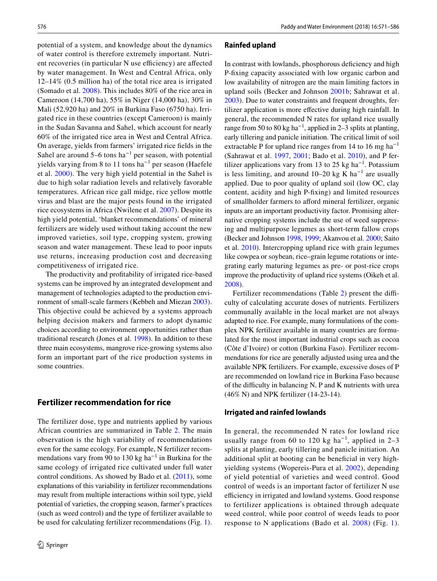potential of a system, and knowledge about the dynamics of water control is therefore extremely important. Nutrient recoveries (in particular N use efficiency) are affected by water management. In West and Central Africa, only 12–14% (0.5 million ha) of the total rice area is irrigated (Somado et al. [2008\)](#page-15-9). This includes 80% of the rice area in Cameroon (14,700 ha), 55% in Niger (14,000 ha), 30% in Mali (52,920 ha) and 20% in Burkina Faso (6750 ha). Irrigated rice in these countries (except Cameroon) is mainly in the Sudan Savanna and Sahel, which account for nearly 60% of the irrigated rice area in West and Central Africa. On average, yields from farmers' irrigated rice felds in the Sahel are around  $5-6$  tons ha<sup>-1</sup> per season, with potential yields varying from 8 to 11 tons ha−1 per season (Haefele et al. [2000](#page-13-14)). The very high yield potential in the Sahel is due to high solar radiation levels and relatively favorable temperatures. African rice gall midge, rice yellow mottle virus and blast are the major pests found in the irrigated rice ecosystems in Africa (Nwilene et al. [2007](#page-14-10)). Despite its high yield potential, 'blanket recommendations' of mineral fertilizers are widely used without taking account the new improved varieties, soil type, cropping system, growing season and water management. These lead to poor inputs use returns, increasing production cost and decreasing competitiveness of irrigated rice.

The productivity and proftability of irrigated rice-based systems can be improved by an integrated development and management of technologies adapted to the production environment of small-scale farmers (Kebbeh and Miezan [2003](#page-14-2)). This objective could be achieved by a systems approach helping decision makers and farmers to adopt dynamic choices according to environment opportunities rather than traditional research (Jones et al. [1998](#page-14-11)). In addition to these three main ecosystems, mangrove rice-growing systems also form an important part of the rice production systems in some countries.

# **Fertilizer recommendation for rice**

The fertilizer dose, type and nutrients applied by various African countries are summarized in Table [2.](#page-6-0) The main observation is the high variability of recommendations even for the same ecology. For example, N fertilizer recommendations vary from 90 to 130 kg ha<sup> $-1$ </sup> in Burkina for the same ecology of irrigated rice cultivated under full water control conditions. As showed by Bado et al.  $(2011)$  $(2011)$ , some explanations of this variability in fertilizer recommendations may result from multiple interactions within soil type, yield potential of varieties, the cropping season, farmer's practices (such as weed control) and the type of fertilizer available to be used for calculating fertilizer recommendations (Fig. [1](#page-6-1)).

### **Rainfed upland**

In contrast with lowlands, phosphorous deficiency and high P-fxing capacity associated with low organic carbon and low availability of nitrogen are the main limiting factors in upland soils (Becker and Johnson [2001b](#page-13-8); Sahrawat et al. [2003](#page-14-5)). Due to water constraints and frequent droughts, fertilizer application is more efective during high rainfall. In general, the recommended N rates for upland rice usually range from 50 to 80 kg ha<sup>-1</sup>, applied in 2–3 splits at planting, early tillering and panicle initiation. The critical limit of soil extractable P for upland rice ranges from 14 to 16 mg ha<sup>-1</sup> (Sahrawat et al. [1997](#page-14-12), [2001](#page-14-13); Bado et al. [2010\)](#page-12-9), and P fertilizer applications vary from 13 to 25 kg ha<sup>-1</sup>. Potassium is less limiting, and around 10–20 kg K ha−1 are usually applied. Due to poor quality of upland soil (low OC, clay content, acidity and high P-fxing) and limited resources of smallholder farmers to aford mineral fertilizer, organic inputs are an important productivity factor. Promising alternative cropping systems include the use of weed suppressing and multipurpose legumes as short-term fallow crops (Becker and Johnson [1998](#page-12-10), [1999;](#page-12-3) Akanvou et al. [2000;](#page-12-11) Saito et al. [2010](#page-14-14)). Intercropping upland rice with grain legumes like cowpea or soybean, rice–grain legume rotations or integrating early maturing legumes as pre- or post-rice crops improve the productivity of upland rice systems (Oikeh et al. [2008](#page-14-15)).

Fertilizer recommendations (Table [2](#page-6-0)) present the difficulty of calculating accurate doses of nutrients. Fertilizers communally available in the local market are not always adapted to rice. For example, many formulations of the complex NPK fertilizer available in many countries are formulated for the most important industrial crops such as cocoa (Côte d'Ivoire) or cotton (Burkina Faso). Fertilizer recommendations for rice are generally adjusted using urea and the available NPK fertilizers. For example, excessive doses of P are recommended on lowland rice in Burkina Faso because of the difficulty in balancing N, P and K nutrients with urea (46% N) and NPK fertilizer (14-23-14).

### **Irrigated and rainfed lowlands**

In general, the recommended N rates for lowland rice usually range from 60 to 120 kg ha<sup>-1</sup>, applied in 2–3 splits at planting, early tillering and panicle initiation. An additional split at booting can be benefcial in very highyielding systems (Wopereis-Pura et al. [2002\)](#page-15-10), depending of yield potential of varieties and weed control. Good control of weeds is an important factor of fertilizer N use efficiency in irrigated and lowland systems. Good response to fertilizer applications is obtained through adequate weed control, while poor control of weeds leads to poor response to N applications (Bado et al. [2008\)](#page-12-0) (Fig. [1](#page-6-1)).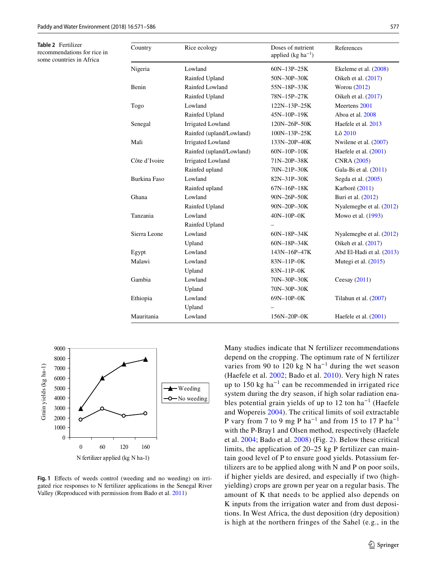<span id="page-6-0"></span>**Table 2** Fertilizer recommendations for rice in some countries in Africa

| Country             | Rice ecology             | Doses of nutrient<br>applied ( $kg \text{ ha}^{-1}$ ) | References                |
|---------------------|--------------------------|-------------------------------------------------------|---------------------------|
| Nigeria             | Lowland                  | 60N-13P-25K                                           | Ekeleme et al. $(2008)$   |
|                     | Rainfed Upland           | 50N-30P-30K                                           | Oikeh et al. (2017)       |
| Benin               | Rainfed Lowland          | 55N-18P-33K                                           | Worou $(2012)$            |
|                     | Rainfed Upland           | 78N-15P-27K                                           | Oikeh et al. (2017)       |
| Togo                | Lowland                  | 122N-13P-25K                                          | Meertens 2001             |
|                     | Rainfed Upland           | 45N-10P-19K                                           | Aboa et al. 2008          |
| Senegal             | Irrigated Lowland        | 120N-26P-50K                                          | Haefele et al. 2013       |
|                     | Rainfed (upland/Lowland) | 100N-13P-25K                                          | Lô 2010                   |
| Mali                | Irrigated Lowland        | 133N-20P-40K                                          | Nwilene et al. (2007)     |
|                     | Rainfed (upland/Lowland) | $60N-10P-10K$                                         | Haefele et al. $(2001)$   |
| Côte d'Ivoire       | Irrigated Lowland        | 71N-20P-38K                                           | CNRA (2005)               |
|                     | Rainfed upland           | 70N-21P-30K                                           | Gala-Bi et al. (2011)     |
| <b>Burkina Faso</b> | Lowland                  | 82N-31P-30K                                           | Segda et al. (2005)       |
|                     | Rainfed upland           | 67N-16P-18K                                           | Karboré (2011)            |
| Ghana               | Lowland                  | 90N-26P-50K                                           | Buri et al. (2012)        |
|                     | Rainfed Upland           | 90N-20P-30K                                           | Nyalemegbe et al. (2012)  |
| Tanzania            | Lowland                  | $40N-10P-0K$                                          | Mowo et al. (1993)        |
|                     | Rainfed Upland           |                                                       |                           |
| Sierra Leone        | Lowland                  | $60N-18P-34K$                                         | Nyalemegbe et al. (2012)  |
|                     | Upland                   | $60N-18P-34K$                                         | Oikeh et al. (2017)       |
| Egypt               | Lowland                  | 143N-16P-47K                                          | Abd El-Hadi et al. (2013) |
| Malawi              | Lowland                  | 83N-11P-0K                                            | Mutegi et al. $(2015)$    |
|                     | Upland                   | 83N-11P-0K                                            |                           |
| Gambia              | Lowland                  | 70N-30P-30K                                           | Ceesay $(2011)$           |
|                     | Upland                   | 70N-30P-30K                                           |                           |
| Ethiopia            | Lowland                  | 69N-10P-0K                                            | Tilahun et al. (2007)     |
|                     | Upland                   |                                                       |                           |
| Mauritania          | Lowland                  | 156N-20P-0K                                           | Haefele et al. $(2001)$   |



<span id="page-6-1"></span>**Fig. 1** Efects of weeds control (weeding and no weeding) on irrigated rice responses to N fertilizer applications in the Senegal River Valley (Reproduced with permission from Bado et al. [2011\)](#page-12-8)

Many studies indicate that N fertilizer recommendations depend on the cropping. The optimum rate of N fertilizer varies from 90 to 120 kg N ha<sup>-1</sup> during the wet season (Haefele et al. [2002](#page-13-3); Bado et al. [2010\)](#page-12-9). Very high N rates up to 150 kg ha<sup> $-1$ </sup> can be recommended in irrigated rice system during the dry season, if high solar radiation enables potential grain yields of up to 12 ton ha−1 (Haefele and Wopereis [2004](#page-13-15)). The critical limits of soil extractable P vary from 7 to 9 mg P ha<sup>-1</sup> and from 15 to 17 P ha<sup>-1</sup> with the P-Bray1 and Olsen method, respectively (Haefele et al. [2004;](#page-13-16) Bado et al. [2008](#page-12-0)) (Fig. [2](#page-7-0)). Below these critical limits, the application of 20–25 kg P fertilizer can maintain good level of P to ensure good yields. Potassium fertilizers are to be applied along with N and P on poor soils, if higher yields are desired, and especially if two (highyielding) crops are grown per year on a regular basis. The amount of K that needs to be applied also depends on K inputs from the irrigation water and from dust depositions. In West Africa, the dust deposition (dry deposition) is high at the northern fringes of the Sahel (e.g., in the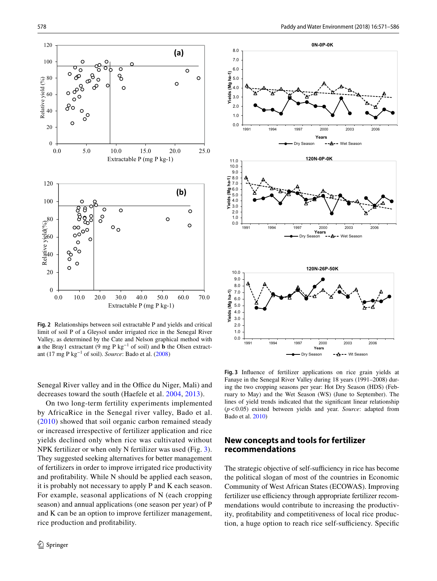

<span id="page-7-0"></span>**Fig. 2** Relationships between soil extractable P and yields and critical limit of soil P of a Gleysol under irrigated rice in the Senegal River Valley, as determined by the Cate and Nelson graphical method with **a** the Bray1 extractant (9 mg P kg−1 of soil) and **b** the Olsen extractant (17 mg P kg−1 of soil). *Source*: Bado et al. [\(2008](#page-12-0))

Senegal River valley and in the Office du Niger, Mali) and decreases toward the south (Haefele et al. [2004](#page-13-16), [2013](#page-13-18)).

On two long-term fertility experiments implemented by AfricaRice in the Senegal river valley, Bado et al. ([2010\)](#page-12-9) showed that soil organic carbon remained steady or increased irrespective of fertilizer application and rice yields declined only when rice was cultivated without NPK fertilizer or when only N fertilizer was used (Fig. [3](#page-7-1)). They suggested seeking alternatives for better management of fertilizers in order to improve irrigated rice productivity and proftability. While N should be applied each season, it is probably not necessary to apply P and K each season. For example, seasonal applications of N (each cropping season) and annual applications (one season per year) of P and K can be an option to improve fertilizer management, rice production and proftability.



<span id="page-7-1"></span>**Fig. 3** Infuence of fertilizer applications on rice grain yields at Fanaye in the Senegal River Valley during 18 years (1991–2008) during the two cropping seasons per year: Hot Dry Season (HDS) (February to May) and the Wet Season (WS) (June to September). The lines of yield trends indicated that the signifcant linear relationship (*p*<0.05) existed between yields and year. *Source*: adapted from Bado et al. [2010\)](#page-12-9)

# **New concepts and tools for fertilizer recommendations**

The strategic objective of self-sufficiency in rice has become the political slogan of most of the countries in Economic Community of West African States (ECOWAS). Improving fertilizer use efficiency through appropriate fertilizer recommendations would contribute to increasing the productivity, proftability and competitiveness of local rice production, a huge option to reach rice self-sufficiency. Specific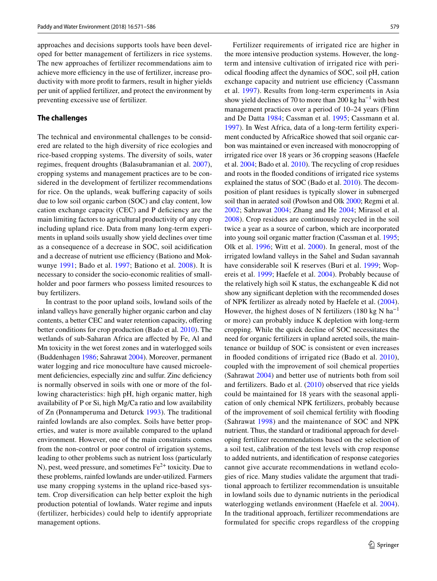approaches and decisions supports tools have been developed for better management of fertilizers in rice systems. The new approaches of fertilizer recommendations aim to achieve more efficiency in the use of fertilizer, increase productivity with more proft to farmers, result in higher yields per unit of applied fertilizer, and protect the environment by preventing excessive use of fertilizer.

### **The challenges**

The technical and environmental challenges to be considered are related to the high diversity of rice ecologies and rice-based cropping systems. The diversity of soils, water regimes, frequent droughts (Balasubramanian et al. [2007](#page-12-4)), cropping systems and management practices are to be considered in the development of fertilizer recommendations for rice. On the uplands, weak bufering capacity of soils due to low soil organic carbon (SOC) and clay content, low cation exchange capacity (CEC) and P defciency are the main limiting factors to agricultural productivity of any crop including upland rice. Data from many long-term experiments in upland soils usually show yield declines over time as a consequence of a decrease in SOC, soil acidifcation and a decrease of nutrient use efficiency (Bationo and Mokwunye [1991;](#page-12-14) Bado et al. [1997](#page-12-15); Bationo et al. [2008\)](#page-12-16). It is necessary to consider the socio-economic realities of smallholder and poor farmers who possess limited resources to buy fertilizers.

In contrast to the poor upland soils, lowland soils of the inland valleys have generally higher organic carbon and clay contents, a better CEC and water retention capacity, offering better conditions for crop production (Bado et al. [2010\)](#page-12-9). The wetlands of sub-Saharan Africa are afected by Fe, Al and Mn toxicity in the wet forest zones and in waterlogged soils (Buddenhagen [1986](#page-13-24); Sahrawat [2004](#page-14-24)). Moreover, permanent water logging and rice monoculture have caused microelement deficiencies, especially zinc and sulfur. Zinc deficiency is normally observed in soils with one or more of the following characteristics: high pH, high organic matter, high availability of P or Si, high Mg/Ca ratio and low availability of Zn (Ponnamperuma and Deturck [1993\)](#page-14-25). The traditional rainfed lowlands are also complex. Soils have better properties, and water is more available compared to the upland environment. However, one of the main constraints comes from the non-control or poor control of irrigation systems, leading to other problems such as nutrient loss (particularly N), pest, weed pressure, and sometimes  $Fe<sup>2+</sup>$  toxicity. Due to these problems, rainfed lowlands are under-utilized. Farmers use many cropping systems in the upland rice-based system. Crop diversifcation can help better exploit the high production potential of lowlands. Water regime and inputs (fertilizer, herbicides) could help to identify appropriate management options.

Fertilizer requirements of irrigated rice are higher in the more intensive production systems. However, the longterm and intensive cultivation of irrigated rice with periodical fooding afect the dynamics of SOC, soil pH, cation exchange capacity and nutrient use efficiency (Cassmann et al. [1997\)](#page-13-25). Results from long-term experiments in Asia show yield declines of 70 to more than 200 kg ha<sup> $-1$ </sup> with best management practices over a period of 10–24 years (Flinn and De Datta [1984](#page-13-26); Cassman et al. [1995](#page-13-27); Cassmann et al. [1997](#page-13-25)). In West Africa, data of a long-term fertility experiment conducted by AfricaRice showed that soil organic carbon was maintained or even increased with monocropping of irrigated rice over 18 years or 36 cropping seasons (Haefele et al. [2004](#page-13-16); Bado et al. [2010\)](#page-12-9). The recycling of crop residues and roots in the fooded conditions of irrigated rice systems explained the status of SOC (Bado et al. [2010](#page-12-9)). The decomposition of plant residues is typically slower in submerged soil than in aerated soil (Powlson and Olk [2000;](#page-14-26) Regmi et al. [2002;](#page-14-27) Sahrawat [2004](#page-14-24); Zhang and He [2004;](#page-15-12) Mirasol et al. [2008\)](#page-14-28). Crop residues are continuously recycled in the soil twice a year as a source of carbon, which are incorporated into young soil organic matter fraction (Cassman et al. [1995](#page-13-27); Olk et al. [1996;](#page-14-29) Witt et al. [2000](#page-15-13)). In general, most of the irrigated lowland valleys in the Sahel and Sudan savannah have considerable soil K reserves (Buri et al. [1999](#page-13-28); Wopereis et al. [1999;](#page-15-2) Haefele et al. [2004](#page-13-16)). Probably because of the relatively high soil K status, the exchangeable K did not show any signifcant depletion with the recommended doses of NPK fertilizer as already noted by Haefele et al. [\(2004](#page-13-16)). However, the highest doses of N fertilizers (180 kg N ha<sup>-1</sup> or more) can probably induce K depletion with long-term cropping. While the quick decline of SOC necessitates the need for organic fertilizers in upland aereted soils, the maintenance or buildup of SOC is consistent or even increases in fooded conditions of irrigated rice (Bado et al. [2010](#page-12-9)), coupled with the improvement of soil chemical properties (Sahrawat [2004\)](#page-14-24) and better use of nutrients both from soil and fertilizers. Bado et al. [\(2010](#page-12-9)) observed that rice yields could be maintained for 18 years with the seasonal application of only chemical NPK fertilizers, probably because of the improvement of soil chemical fertility with fooding (Sahrawat [1998](#page-14-30)) and the maintenance of SOC and NPK nutrient. Thus, the standard or traditional approach for developing fertilizer recommendations based on the selection of a soil test, calibration of the test levels with crop response to added nutrients, and identifcation of response categories cannot give accurate recommendations in wetland ecologies of rice. Many studies validate the argument that traditional approach to fertilizer recommendation is unsuitable in lowland soils due to dynamic nutrients in the periodical waterlogging wetlands environment (Haefele et al. [2004](#page-13-16)). In the traditional approach, fertilizer recommendations are formulated for specifc crops regardless of the cropping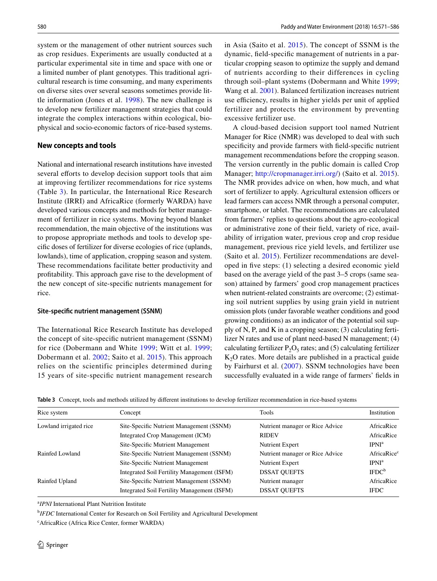system or the management of other nutrient sources such as crop residues. Experiments are usually conducted at a particular experimental site in time and space with one or a limited number of plant genotypes. This traditional agricultural research is time consuming, and many experiments on diverse sites over several seasons sometimes provide little information (Jones et al. [1998\)](#page-14-11). The new challenge is to develop new fertilizer management strategies that could integrate the complex interactions within ecological, biophysical and socio-economic factors of rice-based systems.

### **New concepts and tools**

National and international research institutions have invested several efforts to develop decision support tools that aim at improving fertilizer recommendations for rice systems (Table [3\)](#page-9-0). In particular, the International Rice Research Institute (IRRI) and AfricaRice (formerly WARDA) have developed various concepts and methods for better management of fertilizer in rice systems. Moving beyond blanket recommendation, the main objective of the institutions was to propose appropriate methods and tools to develop specifc doses of fertilizer for diverse ecologies of rice (uplands, lowlands), time of application, cropping season and system. These recommendations facilitate better productivity and proftability. This approach gave rise to the development of the new concept of site-specifc nutrients management for rice.

#### **Site‑specifc nutrient management (SSNM)**

The International Rice Research Institute has developed the concept of site-specifc nutrient management (SSNM) for rice (Dobermann and White [1999;](#page-13-29) Witt et al. [1999](#page-15-14); Dobermann et al. [2002](#page-13-30); Saito et al. [2015](#page-14-31)). This approach relies on the scientific principles determined during 15 years of site-specifc nutrient management research in Asia (Saito et al. [2015](#page-14-31)). The concept of SSNM is the dynamic, feld-specifc management of nutrients in a particular cropping season to optimize the supply and demand of nutrients according to their differences in cycling through soil–plant systems (Dobermann and White [1999](#page-13-29); Wang et al. [2001](#page-15-15)). Balanced fertilization increases nutrient use efficiency, results in higher yields per unit of applied fertilizer and protects the environment by preventing excessive fertilizer use.

A cloud-based decision support tool named Nutrient Manager for Rice (NMR) was developed to deal with such specificity and provide farmers with field-specific nutrient management recommendations before the cropping season. The version currently in the public domain is called Crop Manager; [http://cropmanager.irri.org/\)](http://cropmanager.irri.org/) (Saito et al. [2015](#page-14-31)). The NMR provides advice on when, how much, and what sort of fertilizer to apply. Agricultural extension officers or lead farmers can access NMR through a personal computer, smartphone, or tablet. The recommendations are calculated from farmers' replies to questions about the agro-ecological or administrative zone of their feld, variety of rice, availability of irrigation water, previous crop and crop residue management, previous rice yield levels, and fertilizer use (Saito et al. [2015\)](#page-14-31). Fertilizer recommendations are developed in fve steps: (1) selecting a desired economic yield based on the average yield of the past 3–5 crops (same season) attained by farmers' good crop management practices when nutrient-related constraints are overcome; (2) estimating soil nutrient supplies by using grain yield in nutrient omission plots (under favorable weather conditions and good growing conditions) as an indicator of the potential soil supply of N, P, and K in a cropping season; (3) calculating fertilizer N rates and use of plant need-based N management; (4) calculating fertilizer  $P_2O_5$  rates; and (5) calculating fertilizer  $K<sub>2</sub>O$  rates. More details are published in a practical guide by Fairhurst et al. ([2007\)](#page-13-31). SSNM technologies have been successfully evaluated in a wide range of farmers' felds in

<span id="page-9-0"></span>**Table 3** Concept, tools and methods utilized by diferent institutions to develop fertilizer recommendation in rice-based systems

| Rice system            | Concept                                     | <b>Tools</b>                    | <b>Institution</b> |
|------------------------|---------------------------------------------|---------------------------------|--------------------|
| Lowland irrigated rice | Site-Specific Nutrient Management (SSNM)    | Nutrient manager or Rice Advice | AfricaRice         |
|                        | Integrated Crop Management (ICM)            | <b>RIDEV</b>                    | AfricaRice         |
|                        | Site-Specific Mutrient Management           | Nutrient Expert                 | IPNI <sup>a</sup>  |
| Rainfed Lowland        | Site-Specific Nutrient Management (SSNM)    | Nutrient manager or Rice Advice | AfricaRice         |
|                        | Site-Specific Nutrient Management           | Nutrient Expert                 | IPNI <sup>a</sup>  |
|                        | Integrated Soil Fertility Management (ISFM) | <b>DSSAT OUEFTS</b>             | IFDC <sup>b</sup>  |
| Rainfed Upland         | Site-Specific Nutrient Management (SSNM)    | Nutrient manager                | AfricaRice         |
|                        | Integrated Soil Fertility Management (ISFM) | <b>DSSAT OUEFTS</b>             | <b>IFDC</b>        |

<sup>a</sup>IPNI International Plant Nutrition Institute

b *IFDC* International Center for Research on Soil Fertility and Agricultural Development

c AfricaRice (Africa Rice Center, former WARDA)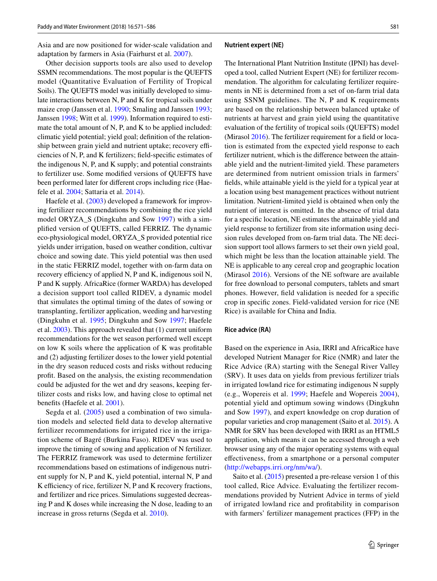Asia and are now positioned for wider-scale validation and adaptation by farmers in Asia (Fairhurst et al. [2007\)](#page-13-31).

Other decision supports tools are also used to develop SSMN recommendations. The most popular is the QUEFTS model (Quantitative Evaluation of Fertility of Tropical Soils). The QUEFTS model was initially developed to simulate interactions between N, P and K for tropical soils under maize crop (Janssen et al. [1990;](#page-13-32) Smaling and Janssen [1993](#page-15-16); Janssen [1998](#page-13-33); Witt et al. [1999](#page-15-14)). Information required to estimate the total amount of N, P, and K to be applied included: climatic yield potential; yield goal; defnition of the relationship between grain yield and nutrient uptake; recovery efficiencies of N, P, and K fertilizers; feld-specifc estimates of the indigenous N, P, and K supply; and potential constraints to fertilizer use. Some modifed versions of QUEFTS have been performed later for diferent crops including rice (Haefele et al. [2004](#page-13-16); Sattaria et al. [2014\)](#page-14-32).

Haefele et al. ([2003](#page-13-34)) developed a framework for improving fertilizer recommendations by combining the rice yield model ORYZA\_S (Dingkuhn and Sow [1997](#page-13-2)) with a simplifed version of QUEFTS, called FERRIZ. The dynamic eco-physiological model, ORYZA\_S provided potential rice yields under irrigation, based on weather condition, cultivar choice and sowing date. This yield potential was then used in the static FERRIZ model, together with on-farm data on recovery efficiency of applied  $N$ ,  $P$  and  $K$ , indigenous soil  $N$ , P and K supply. AfricaRice (former WARDA) has developed a decision support tool called RIDEV, a dynamic model that simulates the optimal timing of the dates of sowing or transplanting, fertilizer application, weeding and harvesting (Dingkuhn et al. [1995;](#page-13-35) Dingkuhn and Sow [1997;](#page-13-2) Haefele et al. [2003](#page-13-34)). This approach revealed that (1) current uniform recommendations for the wet season performed well except on low K soils where the application of K was proftable and (2) adjusting fertilizer doses to the lower yield potential in the dry season reduced costs and risks without reducing proft. Based on the analysis, the existing recommendation could be adjusted for the wet and dry seasons, keeping fertilizer costs and risks low, and having close to optimal net benefts (Haefele et al. [2001\)](#page-13-19).

Segda et al. ([2005](#page-14-19)) used a combination of two simulation models and selected feld data to develop alternative fertilizer recommendations for irrigated rice in the irrigation scheme of Bagré (Burkina Faso). RIDEV was used to improve the timing of sowing and application of N fertilizer. The FERRIZ framework was used to determine fertilizer recommendations based on estimations of indigenous nutrient supply for N, P and K, yield potential, internal N, P and K efficiency of rice, fertilizer N, P and K recovery fractions, and fertilizer and rice prices. Simulations suggested decreasing P and K doses while increasing the N dose, leading to an increase in gross returns (Segda et al. [2010\)](#page-15-17).

#### **Nutrient expert (NE)**

The International Plant Nutrition Institute (IPNI) has developed a tool, called Nutrient Expert (NE) for fertilizer recommendation. The algorithm for calculating fertilizer requirements in NE is determined from a set of on-farm trial data using SSNM guidelines. The N, P and K requirements are based on the relationship between balanced uptake of nutrients at harvest and grain yield using the quantitative evaluation of the fertility of tropical soils (QUEFTS) model (Mirasol [2016](#page-14-33)). The fertilizer requirement for a feld or location is estimated from the expected yield response to each fertilizer nutrient, which is the diference between the attainable yield and the nutrient-limited yield. These parameters are determined from nutrient omission trials in farmers' felds, while attainable yield is the yield for a typical year at a location using best management practices without nutrient limitation. Nutrient-limited yield is obtained when only the nutrient of interest is omitted. In the absence of trial data for a specifc location, NE estimates the attainable yield and yield response to fertilizer from site information using decision rules developed from on-farm trial data. The NE decision support tool allows farmers to set their own yield goal, which might be less than the location attainable yield. The NE is applicable to any cereal crop and geographic location (Mirasol [2016](#page-14-33)). Versions of the NE software are available for free download to personal computers, tablets and smart phones. However, feld validation is needed for a specifc crop in specifc zones. Field-validated version for rice (NE Rice) is available for China and India.

### **Rice advice (RA)**

Based on the experience in Asia, IRRI and AfricaRice have developed Nutrient Manager for Rice (NMR) and later the Rice Advice (RA) starting with the Senegal River Valley (SRV). It uses data on yields from previous fertilizer trials in irrigated lowland rice for estimating indigenous N supply (e.g., Wopereis et al. [1999;](#page-15-2) Haefele and Wopereis [2004](#page-13-15)), potential yield and optimum sowing windows (Dingkuhn and Sow [1997](#page-13-2)), and expert knowledge on crop duration of popular varieties and crop management (Saito et al. [2015\)](#page-14-31). A NMR for SRV has been developed with IRRI as an HTML5 application, which means it can be accessed through a web browser using any of the major operating systems with equal efectiveness, from a smartphone or a personal computer (<http://webapps.irri.org/nm/wa/>).

Saito et al. [\(2015\)](#page-14-31) presented a pre-release version 1 of this tool called, Rice Advice. Evaluating the fertilizer recommendations provided by Nutrient Advice in terms of yield of irrigated lowland rice and proftability in comparison with farmers' fertilizer management practices (FFP) in the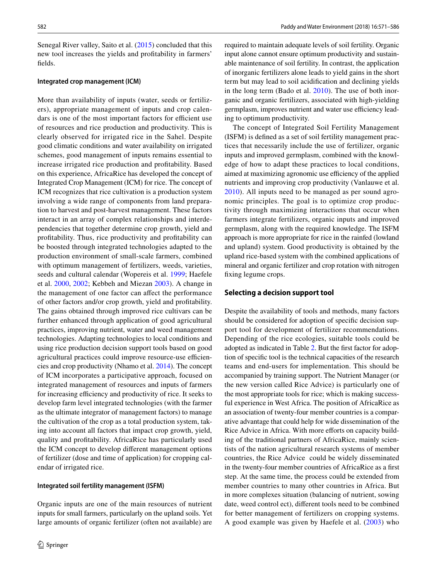Senegal River valley, Saito et al. ([2015](#page-14-31)) concluded that this new tool increases the yields and proftability in farmers' felds.

### **Integrated crop management (ICM)**

More than availability of inputs (water, seeds or fertilizers), appropriate management of inputs and crop calendars is one of the most important factors for efficient use of resources and rice production and productivity. This is clearly observed for irrigated rice in the Sahel. Despite good climatic conditions and water availability on irrigated schemes, good management of inputs remains essential to increase irrigated rice production and proftability. Based on this experience, AfricaRice has developed the concept of Integrated Crop Management (ICM) for rice. The concept of ICM recognizes that rice cultivation is a production system involving a wide range of components from land preparation to harvest and post-harvest management. These factors interact in an array of complex relationships and interdependencies that together determine crop growth, yield and proftability. Thus, rice productivity and proftability can be boosted through integrated technologies adapted to the production environment of small-scale farmers, combined with optimum management of fertilizers, weeds, varieties, seeds and cultural calendar (Wopereis et al. [1999](#page-15-2); Haefele et al. [2000](#page-13-14), [2002;](#page-13-3) Kebbeh and Miezan [2003](#page-14-2)). A change in the management of one factor can afect the performance of other factors and/or crop growth, yield and proftability. The gains obtained through improved rice cultivars can be further enhanced through application of good agricultural practices, improving nutrient, water and weed management technologies. Adapting technologies to local conditions and using rice production decision support tools based on good agricultural practices could improve resource-use efficiencies and crop productivity (Nhamo et al. [2014](#page-14-34)). The concept of ICM incorporates a participative approach, focused on integrated management of resources and inputs of farmers for increasing efficiency and productivity of rice. It seeks to develop farm level integrated technologies (with the farmer as the ultimate integrator of management factors) to manage the cultivation of the crop as a total production system, taking into account all factors that impact crop growth, yield, quality and proftability. AfricaRice has particularly used the ICM concept to develop diferent management options of fertilizer (dose and time of application) for cropping calendar of irrigated rice.

### **Integrated soil fertility management (ISFM)**

Organic inputs are one of the main resources of nutrient inputs for small farmers, particularly on the upland soils. Yet large amounts of organic fertilizer (often not available) are required to maintain adequate levels of soil fertility. Organic input alone cannot ensure optimum productivity and sustainable maintenance of soil fertility. In contrast, the application of inorganic fertilizers alone leads to yield gains in the short term but may lead to soil acidifcation and declining yields in the long term (Bado et al. [2010\)](#page-12-9). The use of both inorganic and organic fertilizers, associated with high-yielding germplasm, improves nutrient and water use efficiency leading to optimum productivity.

The concept of Integrated Soil Fertility Management (ISFM) is defned as a set of soil fertility management practices that necessarily include the use of fertilizer, organic inputs and improved germplasm, combined with the knowledge of how to adapt these practices to local conditions, aimed at maximizing agronomic use efficiency of the applied nutrients and improving crop productivity (Vanlauwe et al. [2010\)](#page-15-18). All inputs need to be managed as per sound agronomic principles. The goal is to optimize crop productivity through maximizing interactions that occur when farmers integrate fertilizers, organic inputs and improved germplasm, along with the required knowledge. The ISFM approach is more appropriate for rice in the rainfed (lowland and upland) system. Good productivity is obtained by the upland rice-based system with the combined applications of mineral and organic fertilizer and crop rotation with nitrogen fxing legume crops.

## **Selecting a decision support tool**

Despite the availability of tools and methods, many factors should be considered for adoption of specifc decision support tool for development of fertilizer recommendations. Depending of the rice ecologies, suitable tools could be adopted as indicated in Table [2](#page-6-0). But the frst factor for adoption of specifc tool is the technical capacities of the research teams and end-users for implementation. This should be accompanied by training support. The Nutrient Manager (or the new version called Rice Advice) is particularly one of the most appropriate tools for rice; which is making successful experience in West Africa. The position of AfricaRice as an association of twenty-four member countries is a comparative advantage that could help for wide dissemination of the Rice Advice in Africa. With more efforts on capacity building of the traditional partners of AfricaRice, mainly scientists of the nation agricultural research systems of member countries, the Rice Advice could be widely disseminated in the twenty-four member countries of AfricaRice as a frst step. At the same time, the process could be extended from member countries to many other countries in Africa. But in more complexes situation (balancing of nutrient, sowing date, weed control ect), diferent tools need to be combined for better management of fertilizers on cropping systems. A good example was given by Haefele et al. [\(2003\)](#page-13-34) who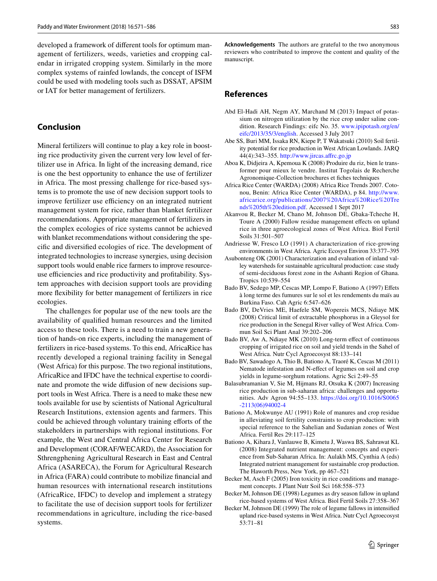developed a framework of diferent tools for optimum management of fertilizers, weeds, varieties and cropping calendar in irrigated cropping system. Similarly in the more complex systems of rainfed lowlands, the concept of ISFM could be used with modeling tools such as DSSAT, APSIM or IAT for better management of fertilizers.

# **Conclusion**

Mineral fertilizers will continue to play a key role in boosting rice productivity given the current very low level of fertilizer use in Africa. In light of the increasing demand, rice is one the best opportunity to enhance the use of fertilizer in Africa. The most pressing challenge for rice-based systems is to promote the use of new decision support tools to improve fertilizer use efficiency on an integrated nutrient management system for rice, rather than blanket fertilizer recommendations. Appropriate management of fertilizers in the complex ecologies of rice systems cannot be achieved with blanket recommendations without considering the specifc and diversifed ecologies of rice. The development of integrated technologies to increase synergies, using decision support tools would enable rice farmers to improve resourceuse efficiencies and rice productivity and profitability. System approaches with decision support tools are providing more fexibility for better management of fertilizers in rice ecologies.

The challenges for popular use of the new tools are the availability of qualifed human resources and the limited access to these tools. There is a need to train a new generation of hands-on rice experts, including the management of fertilizers in rice-based systems. To this end, AfricaRice has recently developed a regional training facility in Senegal (West Africa) for this purpose. The two regional institutions, AfricaRice and IFDC have the technical expertise to coordinate and promote the wide difusion of new decisions support tools in West Africa. There is a need to make these new tools available for use by scientists of National Agricultural Research Institutions, extension agents and farmers. This could be achieved through voluntary training eforts of the stakeholders in partnerships with regional institutions. For example, the West and Central Africa Center for Research and Development (CORAF/WECARD), the Association for Sthrengphening Agricultural Research in East and Central Africa (ASARECA), the Forum for Agricultural Research in Africa (FARA) could contribute to mobilize fnancial and human resources with international research institutions (AfricaRice, IFDC) to develop and implement a strategy to facilitate the use of decision support tools for fertilizer recommendations in agriculture, including the rice-based systems.

**Acknowledgements** The authors are grateful to the two anonymous reviewers who contributed to improve the content and quality of the manuscript.

### **References**

- <span id="page-12-13"></span>Abd El-Hadi AH, Negm AY, Marchand M (2013) Impact of potassium on nitrogen utilization by the rice crop under saline condition. Research Findings: eifc No. 35. [www.ipipotash.org/en/](http://www.ipipotash.org/en/eifc/2013/35/3/english) [eifc/2013/35/3/english](http://www.ipipotash.org/en/eifc/2013/35/3/english). Accessed 3 July 2017
- <span id="page-12-2"></span>Abe SS, Buri MM, Issaka RN, Kiepe P, T Wakatsuki (2010) Soil fertility potential for rice production in West African Lowlands. JARQ 44(4):343–355. [http://www.jircas.afrc.go.jp](http://www.jircas.affrc.go.jp)
- <span id="page-12-12"></span>Aboa K, Didjeira A, Kpemoua K (2008) Produire du riz, bien le transformer pour mieux le vendre. Institut Togolais de Recherche Agronomique-Collection brochures et fches techniques
- <span id="page-12-5"></span>Africa Rice Center (WARDA) (2008) Africa Rice Trends 2007. Cotonou, Benin: Africa Rice Center (WARDA), p 84. [http://www.](http://www.africarice.org/publications/2007%20Africa%20Rice%20Trends%205th%20edition.pdf) [africarice.org/publications/2007%20Africa%20Rice%20Tre](http://www.africarice.org/publications/2007%20Africa%20Rice%20Trends%205th%20edition.pdf) [nds%205th%20edition.pdf](http://www.africarice.org/publications/2007%20Africa%20Rice%20Trends%205th%20edition.pdf). Accessed 1 Sept 2017
- <span id="page-12-11"></span>Akanvou R, Becker M, Chano M, Johnson DE, Gbaka-Tcheche H, Toure A (2000) Fallow residue management effects on upland rice in three agroecological zones of West Africa. Biol Fertil Soils 31:501–507
- <span id="page-12-1"></span>Andriesse W, Fresco LO (1991) A characterization of rice-growing environments in West Africa. Agric Ecosyst Environ 33:377–395
- <span id="page-12-6"></span>Asubonteng OK (2001) Characterization and evaluation of inland valley watersheds for sustainable agricultural production: case study of semi-deciduous forest zone in the Ashanti Region of Ghana. Tropics 10:539–554
- <span id="page-12-15"></span>Bado BV, Sedego MP, Cescas MP, Lompo F, Bationo A (1997) Efets à long terme des fumures sur le sol et les rendements du maïs au Burkina Faso. Cah Agric 6:547–626
- <span id="page-12-0"></span>Bado BV, DeVries ME, Haefele SM, Wopereis MCS, Ndiaye MK (2008) Critical limit of extractable phosphorus in a Gleysol for rice production in the Senegal River valley of West Africa. Commun Soil Sci Plant Anal 39:202–206
- <span id="page-12-9"></span>Bado BV, Aw A, Ndiaye MK (2010) Long-term efect of continuous cropping of irrigated rice on soil and yield trends in the Sahel of West Africa. Nutr Cycl Agroecosyst 88:133–141
- <span id="page-12-8"></span>Bado BV, Sawadogo A, Thio B, Bationo A, Traoré K, Cescas M (2011) Nematode infestation and N-efect of legumes on soil and crop yields in legume-sorghum rotations. Agric Sci 2:49–55
- <span id="page-12-4"></span>Balasubramanian V, Sie M, Hijmans RJ, Otsuka K (2007) Increasing rice production in sub-saharan africa: challenges and opportunities. Adv Agron 94:55–133. [https://doi.org/10.1016/S0065](https://doi.org/10.1016/S0065-2113(06)94002-4) [-2113\(06\)94002-4](https://doi.org/10.1016/S0065-2113(06)94002-4)
- <span id="page-12-14"></span>Bationo A, Mokwunye AU (1991) Role of manures and crop residue in alleviating soil fertility constraints to crop production: with special reference to the Sahelian and Sudanian zones of West Africa. Fertil Res 29:117–125
- <span id="page-12-16"></span>Bationo A, Kihara J, Vanlauwe B, Kimetu J, Waswa BS, Sahrawat KL (2008) Integrated nutrient management: concepts and experience from Sub-Saharan Africa. In: Aulakh MS, Cynthia A (eds) Integrated nutrient management for sustainable crop production. The Haworth Press, New York, pp 467–521
- <span id="page-12-7"></span>Becker M, Asch F (2005) Iron toxicity in rice conditions and management concepts. J Plant Nutr Soil Sci 168:558–573
- <span id="page-12-10"></span>Becker M, Johnson DE (1998) Legumes as dry season fallow in upland rice-based systems of West Africa. Biol Fertil Soils 27:358–367
- <span id="page-12-3"></span>Becker M, Johnson DE (1999) The role of legume fallows in intensifed upland rice-based systems in West Africa. Nutr Cycl Agroecosyst 53:71–81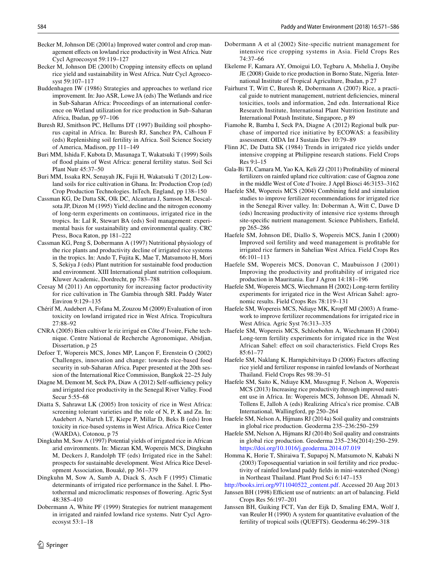- <span id="page-13-11"></span>Becker M, Johnson DE (2001a) Improved water control and crop management efects on lowland rice productivity in West Africa. Nutr Cycl Agroecosyst 59:119–127
- <span id="page-13-8"></span>Becker M, Johnson DE (2001b) Cropping intensity efects on upland rice yield and sustainability in West Africa. Nutr Cycl Agroecosyst 59:107–117
- <span id="page-13-24"></span>Buddenhagen IW (1986) Strategies and approaches to wetland rice improvement. In: Juo ASR, Lowe JA (eds) The Wetlands and rice in Sub-Saharan Africa: Proceedings of an international conference on Wetland utilization for rice production in Sub–Saharan Africa, Ibadan, pp 97–106
- <span id="page-13-7"></span>Buresh RJ, Smithson PC, Hellums DT (1997) Building soil phosphorus capital in Africa. In: Buresh RJ, Sanchez PA, Calhoun F (eds) Replenishing soil fertility in Africa. Soil Science Society of America, Madison, pp 111–149
- <span id="page-13-28"></span>Buri MM, Ishida F, Kubota D, Masunaga T, Wakatsuki T (1999) Soils of food plains of West Africa: general fertility status. Soil Sci Plant Nutr 45:37–50
- <span id="page-13-22"></span>Buri MM, Issaka RN, Senayah JK, Fujii H, Wakatsuki T (2012) Lowland soils for rice cultivation in Ghana. In: Production Crop (ed) Crop Production Technologies. InTech, England, pp 138–150
- <span id="page-13-27"></span>Cassman KG, De Datta SK, Olk DC, Alcantara J, Samson M, Descalsota JP, Dizon M (1995) Yield decline and the nitrogen economy of long-term experiments on continuous, irrigated rice in the tropics. In: Lal R, Stewart BA (eds) Soil management: experimental basis for sustainability and environmental quality. CRC Press, Boca Raton, pp 181–222
- <span id="page-13-25"></span>Cassman KG, Peng S, Dobermann A (1997) Nutritional physiology of the rice plants and productivity decline of irrigated rice systems in the tropics. In: Ando T, Fujita K, Mae T, Matsumoto H, Mori S, Sekiya J (eds) Plant nutrition for sustainable food production and environment. XIII International plant nutrition colloquium. Kluwer Academic, Dordrecht, pp 783–788
- <span id="page-13-23"></span>Ceesay M (2011) An opportunity for increasing factor productivity for rice cultivation in The Gambia through SRI. Paddy Water Environ 9:129–135
- <span id="page-13-13"></span>Chérif M, Audebert A, Fofana M, Zouzou M (2009) Evaluation of iron toxicity on lowland irrigated rice in West Africa. Tropicultura 27:88–92
- <span id="page-13-20"></span>CNRA (2005) Bien cultiver le riz irrigué en Côte d'Ivoire, Fiche technique. Centre National de Recherche Agronomique, Abidjan, Dissertation, p 25
- <span id="page-13-6"></span>Defoer T, Wopereis MCS, Jones MP, Lançon F, Erenstein O (2002) Challenges, innovation and change: towards rice-based food security in sub-Saharan Africa. Paper presented at the 20th session of the International Rice Commission, Bangkok 22–25 July
- <span id="page-13-0"></span>Diagne M, Demont M, Seck PA, Diaw A (2012) Self-sufficiency policy and irrigated rice productivity in the Senegal River Valley. Food Secur 5:55–68
- <span id="page-13-12"></span>Diatta S, Sahrawat LK (2005) Iron toxicity of rice in West Africa: screening tolerant varieties and the role of N, P, K and Zn. In: Audebert A, Narteh LT, Kiepe P, Millar D, Beks B (eds) Iron toxicity in rice-based systems in West Africa. Africa Rice Center (WARDA), Cotonou, p 75
- <span id="page-13-2"></span>Dingkuhn M, Sow A (1997) Potential yields of irrigated rice in African arid environments. In: Miezan KM, Wopereis MCS, Dingkuhn M, Deckers J, Randolph TF (eds) Irrigated rice in the Sahel: prospects for sustainable development. West Africa Rice Development Association, Bouaké, pp 361–379
- <span id="page-13-35"></span>Dingkuhn M, Sow A, Samb A, Diack S, Asch F (1995) Climatic determinants of irrigated rice performance in the Sahel. I. Photothermal and microclimatic responses of fowering. Agric Syst 48:385–410
- <span id="page-13-29"></span>Dobermann A, White PF (1999) Strategies for nutrient management in irrigated and rainfed lowland rice systems. Nutr Cycl Agroecosyst 53:1–18
- $\circled{2}$  Springer
- <span id="page-13-30"></span>Dobermann A et al (2002) Site-specifc nutrient management for intensive rice cropping systems in Asia. Field Crops Res 74:37–66
- <span id="page-13-17"></span>Ekeleme F, Kamara AY, Omoigui LO, Tegbaru A, Mshelia J, Onyibe JE (2008) Guide to rice production in Borno State, Nigeria. International Institute of Tropical Agriculture, Ibadan, p 27
- <span id="page-13-31"></span>Fairhurst T, Witt C, Buresh R, Dobermann A (2007) Rice, a practical guide to nutrient management, nutrient defciencies, mineral toxicities, tools and information, 2nd edn. International Rice Research Institute, International Plant Nutrition Institute and International Potash Institute, Singapore, p 89
- <span id="page-13-1"></span>Fiamohe R, Bamba I, Seck PA, Diagne A (2012) Regional bulk purchase of imported rice initiative by ECOWAS: a feasibility assessment. OIDA Int J Sustain Dev 10:79–89
- <span id="page-13-26"></span>Flinn JC, De Datta SK (1984) Trends in irrigated rice yields under intensive cropping at Philippine research stations. Field Crops Res 9:l–15
- <span id="page-13-21"></span>Gala-Bi TJ, Camara M, Yao KA, Keli ZJ (2011) Proftability of mineral fertilizers on rainfed upland rice cultivation: case of Gagnoa zone in the middle West of Cote d'Ivoire. J Appl Biosci 46:3153–3162
- <span id="page-13-15"></span>Haefele SM, Wopereis MCS (2004) Combining feld and simulation studies to improve fertilizer recommendations for irrigated rice in the Senegal River valley. In: Doberman A, Witt C, Dawe D (eds) Increasing productivity of intensive rice systems through site-specifc nutrient management. Science Publishers, Enfeld, pp 265–286
- <span id="page-13-14"></span>Haefele SM, Johnson DE, Diallo S, Wopereis MCS, Janin I (2000) Improved soil fertility and weed management is proftable for irrigated rice farmers in Sahelian West Africa. Field Crops Res 66:101–113
- <span id="page-13-19"></span>Haefele SM, Wopereis MCS, Donovan C, Maubuisson J (2001) Improving the productivity and proftability of irrigated rice production in Mauritania. Eur J Agron 14:181–196
- <span id="page-13-3"></span>Haefele SM, Wopereis MCS, Wiechmann H (2002) Long-term fertility experiments for irrigated rice in the West African Sahel: agronomic results. Field Crops Res 78:119–131
- <span id="page-13-34"></span>Haefele SM, Wopereis MCS, Ndiaye MK, Kropff MJ (2003) A framework to improve fertilizer recommendations for irrigated rice in West Africa. Agric Syst 76:313–335
- <span id="page-13-16"></span>Haefele SM, Wopereis MCS, Schloebohm A, Wiechmann H (2004) Long-term fertility experiments for irrigated rice in the West African Sahel: efect on soil characteristics. Field Crops Res 85:61–77
- <span id="page-13-10"></span>Haefele SM, Naklang K, Harnpichitvitaya D (2006) Factors afecting rice yield and fertilizer response in rainfed lowlands of Northeast Thailand. Field Crops Res 98:39–51
- <span id="page-13-18"></span>Haefele SM, Saito K, Ndiaye KM, Mussgnug F, Nelson A, Wopereis MCS (2013) Increasing rice productivity through improved nutrient use in Africa. In: Wopereis MCS, Johnson DE, Ahmadi N, Tollens E, Jalloh A (eds) Realizing Africa's rice promise. CAB International, Wallingford, pp 250–264
- <span id="page-13-4"></span>Haefele SM, Nelson A, Hijmans RJ (2014a) Soil quality and constraints in global rice production. Geoderma 235–236:250–259
- <span id="page-13-5"></span>Haefele SM, Nelson A, Hijmans RJ (2014b) Soil quality and constraints in global rice production. Geoderma 235–236(2014):250–259. <https://doi.org/10.1016/j.geoderma.2014.07.019>
- <span id="page-13-9"></span>Homma K, Horie T, Shiraiwa T, Supapoj N, Matsumoto N, Kabaki N (2003) Toposequential variation in soil fertility and rice productivity of rainfed lowland paddy felds in mini-watershed (Nong) in Northeast Thailand. Plant Prod Sci 6:147–153

[http://books.irri.org/9711040522\\_content.pdf.](http://books.irri.org/9711040522_content.pdf) Accessed 20 Aug 2013

- <span id="page-13-33"></span>Janssen BH (1998) Efficient use of nutrients: an art of balancing. Field Crops Res 56:197–201
- <span id="page-13-32"></span>Janssen BH, Guiking FCT, Van der Eijk D, Smaling EMA, Wolf J, van Reuler H (1990) A system for quantitative evaluation of the fertility of tropical soils (QUEFTS). Geoderma 46:299–318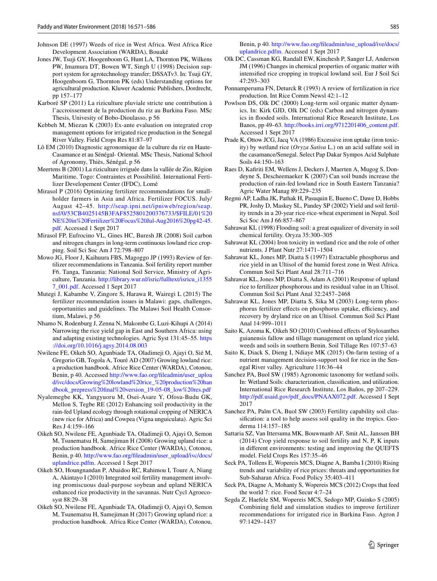- <span id="page-14-6"></span>Johnson DE (1997) Weeds of rice in West Africa. West Africa Rice Development Association (WARDA), Bouaké
- <span id="page-14-11"></span>Jones JW, Tsuji GY, Hoogenboom G, Hunt LA, Thornton PK, Wilkens PW, Imamura DT, Bowen WT, Singh U (1998) Decision support system for agrotechnology transfer; DSSATv3. In: Tsuji GY, Hoogenboom G, Thornton PK (eds) Understanding options for agricultural production. Kluwer Academic Publishers, Dordrecht, pp 157–177
- <span id="page-14-20"></span>Karboré SP (2011) La riziculture pluviale stricte une contribution à l'accroissement de la production du riz au Burkina Faso. MSc Thesis, Univesity of Bobo-Dioulasso, p 56
- <span id="page-14-2"></span>Kebbeh M, Miezan K (2003) Ex-ante evaluation on integrated crop management options for irrigated rice production in the Senegal River Valley. Field Crops Res 81:87–97
- <span id="page-14-18"></span>Lô EM (2010) Diagnostic agronomique de la culture du riz en Haute-Casamance et au Sénégal- Oriental. MSc Thesis, National School of Agronomy, Thiès, Sénégal, p 56
- <span id="page-14-17"></span>Meertens B (2001) La riziculture irriguée dans la vallée de Zio, Région Maritime, Togo: Contraintes et Possibilité. International Fertilizer Developement Center (IFDC), Lomé
- <span id="page-14-33"></span>Mirasol P (2016) Optimizing fertilizer recommendations for smallholder farmers in Asia and Africa. Fertilizer FOCUS. July/ August 42–45. [http://seap.ipni.net/ipniweb/region/seap.](http://seap.ipni.net/ipniweb/region/seap.nsf/0/53CB4025145B3FAF8525801200376733/%24FILE/01%20NE%20in%20Fertilizer%20Focus%20Jul-Aug2016%20pg42-45.pdf) [nsf/0/53CB4025145B3FAF8525801200376733/\\$FILE/01%20](http://seap.ipni.net/ipniweb/region/seap.nsf/0/53CB4025145B3FAF8525801200376733/%24FILE/01%20NE%20in%20Fertilizer%20Focus%20Jul-Aug2016%20pg42-45.pdf) [NE%20in%20Fertilizer%20Focus%20Jul-Aug2016%20pg42-45.](http://seap.ipni.net/ipniweb/region/seap.nsf/0/53CB4025145B3FAF8525801200376733/%24FILE/01%20NE%20in%20Fertilizer%20Focus%20Jul-Aug2016%20pg42-45.pdf) [pdf](http://seap.ipni.net/ipniweb/region/seap.nsf/0/53CB4025145B3FAF8525801200376733/%24FILE/01%20NE%20in%20Fertilizer%20Focus%20Jul-Aug2016%20pg42-45.pdf). Accessed 1 Sept 2017
- <span id="page-14-28"></span>Mirasol FP, Eufrocino VL, Gines HC, Buresh JR (2008) Soil carbon and nitrogen changes in long-term continuous lowland rice cropping. Soil Sci Soc Am J 72:798–807
- <span id="page-14-22"></span>Mowo JG, Floor J, Kaihuura FBS, Magoggo JP (1993) Review of fertilizer recommendations in Tanzania. Soil fertility report number F6. Tanga, Tanzania: National Soil Service, Ministry of Agriculture, Tanzania. [http://library.wur.nl/isric/fulltext/isricu\\_i1355](http://library.wur.nl/isric/fulltext/isricu_i13557_001.pdf) [7\\_001.pdf.](http://library.wur.nl/isric/fulltext/isricu_i13557_001.pdf) Accessed 1 Sept 2017
- <span id="page-14-23"></span>Mutegi J, Kabambe V, Zingore S, Harawa R, Wairegi L (2015) The fertilizer recommendation issues in Malawi: gaps, challenges, opportunities and guidelines. The Malawi Soil Health Consortium, Malawi, p 56
- <span id="page-14-34"></span>Nhamo N, Rodenburg J, Zenna N, Makombe G, Luzi-Kihupi A (2014) Narrowing the rice yield gap in East and Southern Africa: using and adapting existing technologies. Agric Syst 131:45–55. [https](https://doi.org/10.1016/j.agsy.2014.08.003) [://doi.org/10.1016/j.agsy.2014.08.003](https://doi.org/10.1016/j.agsy.2014.08.003)
- <span id="page-14-10"></span>Nwilene FE, Oikeh SO, Agunbiade TA, Oladimeji O, Ajayi O, Sié M, Gregorio GB, Togola A, Touré AD (2007) Growing lowland rice: a production handbook. Africe Rice Center (WARDA), Cotonou, Benin, p 40. Accessed [http://www.fao.org/fleadmin/user\\_uploa](http://www.fao.org/fileadmin/user_upload/ivc/docs/Growing%20lowland%20rice_%20production%20handbook_prepress%20final%20version_19-05-08_low%20res.pdf) [d/ivc/docs/Growing%20lowland%20rice\\_%20production%20han](http://www.fao.org/fileadmin/user_upload/ivc/docs/Growing%20lowland%20rice_%20production%20handbook_prepress%20final%20version_19-05-08_low%20res.pdf) [dbook\\_prepress%20fnal%20version\\_19-05-08\\_low%20res.pdf](http://www.fao.org/fileadmin/user_upload/ivc/docs/Growing%20lowland%20rice_%20production%20handbook_prepress%20final%20version_19-05-08_low%20res.pdf)
- <span id="page-14-21"></span>Nyalemegbe KK, Yangyuoru M, Osei-Asare Y, Ofosu-Budu GK, Mellon S, Tegbe RE (2012) Enhancing soil productivity in the rain-fed Upland ecology through rotational cropping of NERICA (new rice for Africa) and Cowpea (Vigna unguiculata). Agric Sci Res J 4:159–166
- <span id="page-14-15"></span>Oikeh SO, Nwilene FE, Agunbiade TA, Oladimeji O, Ajayi O, Semon M, Tsunematsu H, Samejiman H (2008) Growing upland rice: a production handbook. Africe Rice Center (WARDA), Cotonou, Benin, p 40. [http://www.fao.org/fleadmin/user\\_upload/ivc/docs/](http://www.fao.org/fileadmin/user_upload/ivc/docs/uplandrice.pdfm) [uplandrice.pdfm](http://www.fao.org/fileadmin/user_upload/ivc/docs/uplandrice.pdfm). Accessed 1 Sept 2017
- <span id="page-14-7"></span>Oikeh SO, Houngnandan P, Abaidoo RC, Rahimou I, Toure A, Niang A, Akintayo I (2010) Integrated soil fertility management involving promiscuous dual-purpose soybean and upland NERICA enhanced rice productivity in the savannas. Nutr Cycl Agroecosyst 88:29–38
- <span id="page-14-16"></span>Oikeh SO, Nwilene FE, Agunbiade TA, Oladimeji O, Ajayi O, Semon M, Tsunematsu H, Samejiman H (2017) Growing upland rice: a production handbook. Africa Rice Center (WARDA), Cotonou,

Benin, p 40. [http://www.fao.org/fleadmin/use\\_upload/ive/docs/](http://www.fao.org/fileadmin/use_upload/ive/docs/uplandrice.pdfm) [uplandrice.pdfm](http://www.fao.org/fileadmin/use_upload/ive/docs/uplandrice.pdfm). Accessed 1 Sept 2017

- <span id="page-14-29"></span>Olk DC, Cassman KG, Randall EW, Kinchesh P, Sanger LJ, Anderson JM (1996) Changes in chemical properties of organic matter with intensifed rice cropping in tropical lowland soil. Eur J Soil Sci 47:293–303
- <span id="page-14-25"></span>Ponnamperuma FN, Deturck R (1993) A review of fertilization in rice production. Int Rice Comm Newsl 42:1–12
- <span id="page-14-26"></span>Powlson DS, Olk DC (2000) Long-term soil organic matter dynamics. In: Kirk GJD, Olk DC (eds) Carbon and nitrogen dynamics in fooded soils. International Rice Research Institute, Los Banos, pp 49–63. [http://books.irri.org/9712201406\\_content.pdf.](http://books.irri.org/9712201406_content.pdf) Accessed 1 Sept 2017
- <span id="page-14-9"></span>Prade K, Ottow JCG, Jacq VA (1986) Excessive iron uptake (iron toxicity) by wetland rice (*Oryza Sativa* L.) on an acid sulfate soil in the casamance/Senegal. Select Pap Dakar Sympos Acid Sulphate Soils 44:150–163
- <span id="page-14-8"></span>Raes D, Kafriti EM, Wellens J, Deckers J, Maerten A, Mugog S, Dondeyne S, Descheemaeker K (2007) Can soil bunds increase the production of rain-fed lowland rice in South Eastern Tanzania? Agric Water Manag 89:229–235
- <span id="page-14-27"></span>Regmi AP, Ladha JK, Pathak H, Pasuquin E, Bueno C, Dawe D, Hobbs PR, Joshy D, Maskey SL, Pandey SP (2002) Yield and soil fertility trends in a 20-year rice-rice-wheat experiment in Nepal. Soil Sci Soc Am J 66:857–867
- <span id="page-14-30"></span>Sahrawat KL (1998) Flooding soil: a great equalizer of diversity in soil chemical fertility. Oryza 35:300–305
- <span id="page-14-24"></span>Sahrawat KL (2004) Iron toxicity in wetland rice and the role of other nutrients. J Plant Nutr 27:1471–1504
- <span id="page-14-12"></span>Sahrawat KL, Jones MP, Diatta S (1997) Extractable phosphorus and rice yield in an Ultisol of the humid forest zone in West Africa. Commun Soil Sci Plant Anal 28:711–716
- <span id="page-14-13"></span>Sahrawat KL, Jones MP, Diatta S, Adam A (2001) Response of upland rice to fertilizer phosphorous and its residual value in an Ultisol. Commun Soil Sci Plant Anal 32:2457–2468
- <span id="page-14-5"></span>Sahrawat KL, Jones MP, Diatta S, Sika M (2003) Long-term phosphorus fertilizer effects on phosphorus uptake, efficiency, and recovery by dryland rice on an Ultisol. Commun Soil Sci Plant Anal 14:999–1011
- <span id="page-14-14"></span>Saito K, Azoma K, Oikeh SO (2010) Combined efects of Stylosanthes guianensis fallow and tillage management on upland rice yield, weeds and soils in southern Benin. Soil Tillage Res 107:57–63
- <span id="page-14-31"></span>Saito K, Diack S, Dieng I, Ndiaye MK (2015) On-farm testing of a nutrient management decision-support tool for rice in the Senegal River valley. Agriculture 116:36–44
- <span id="page-14-3"></span>Sanchez PA, Buol SW (1985) Agronomic taxonomy for wetland soils. In: Wetland Soils: characterization, classifcation, and utilization. International Rice Research Institute, Los Baños, pp 207–229. [http://pdf.usaid.gov/pdf\\_docs/PNAAX072.pdf.](http://pdf.usaid.gov/pdf_docs/PNAAX072.pdf) Accessed 1 Sept 2017
- <span id="page-14-4"></span>Sanchez PA, Palm CA, Buol SW (2003) Fertility capability soil classifcation: a tool to help assess soil quality in the tropics. Geoderma 114:157–185
- <span id="page-14-32"></span>Sattaria SZ, Van Ittersuma MK, Bouwmanb AF, Smit AL, Janssen BH (2014) Crop yield response to soil fertility and N, P, K inputs in diferent environments: testing and improving the QUEFTS model. Field Crops Res 157:35–46
- <span id="page-14-1"></span>Seck PA, Tollens E, Wopereis MCS, Diagne A, Bamba I (2010) Rising trends and variability of rice prices: threats and opportunities for Sub-Saharan Africa. Food Policy 35:403–411
- <span id="page-14-0"></span>Seck PA, Diagne A, Mohanty S, Wopereis MCS (2012) Crops that feed the world 7: rice. Food Secur 4:7–24
- <span id="page-14-19"></span>Segda Z, Haefele SM, Wopereis MCS, Sedogo MP, Guinko S (2005) Combining feld and simulation studies to improve fertilizer recommendations for irrigated rice in Burkina Faso. Agron J 97:1429–1437